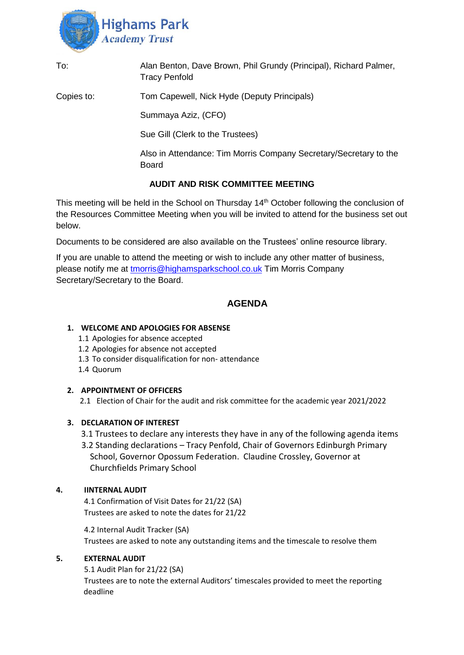

| To:        | Alan Benton, Dave Brown, Phil Grundy (Principal), Richard Palmer,<br><b>Tracy Penfold</b> |
|------------|-------------------------------------------------------------------------------------------|
| Copies to: | Tom Capewell, Nick Hyde (Deputy Principals)                                               |
|            | Summaya Aziz, (CFO)                                                                       |
|            | Sue Gill (Clerk to the Trustees)                                                          |
|            | Also in Attendance: Tim Morris Company Secretary/Secretary to the<br><b>Board</b>         |
|            | AUDIT AND RISK COMMITTEE MEETING                                                          |

This meeting will be held in the School on Thursday 14<sup>th</sup> October following the conclusion of the Resources Committee Meeting when you will be invited to attend for the business set out below.

Documents to be considered are also available on the Trustees' online resource library.

If you are unable to attend the meeting or wish to include any other matter of business, please notify me at [tmorris@highamsparkschool.co.uk](mailto:tmorris@highamsparkschool.co.uk) Tim Morris Company Secretary/Secretary to the Board.

# **AGENDA**

### **1. WELCOME AND APOLOGIES FOR ABSENSE**

- 1.1 Apologies for absence accepted
- 1.2 Apologies for absence not accepted
- 1.3 To consider disqualification for non- attendance
- 1.4 Quorum

### **2. APPOINTMENT OF OFFICERS**

2.1 Election of Chair for the audit and risk committee for the academic year 2021/2022

# **3. DECLARATION OF INTEREST**

- 3.1 Trustees to declare any interests they have in any of the following agenda items
- 3.2 Standing declarations Tracy Penfold, Chair of Governors Edinburgh Primary School, Governor Opossum Federation. Claudine Crossley, Governor at Churchfields Primary School

# **4. IINTERNAL AUDIT**

4.1 Confirmation of Visit Dates for 21/22 (SA) Trustees are asked to note the dates for 21/22

4.2 Internal Audit Tracker (SA) Trustees are asked to note any outstanding items and the timescale to resolve them

### **5. EXTERNAL AUDIT**

5.1 Audit Plan for 21/22 (SA) Trustees are to note the external Auditors' timescales provided to meet the reporting deadline